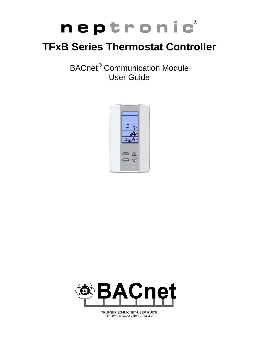## **TFxB Series Thermostat Controller**

BACnet® Communication Module User Guide





TFxB-SERIES-BACNET-USER GUIDE TFxB24-Bacnet-121026-EUA.doc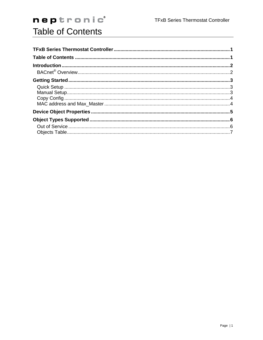## **Table of Contents**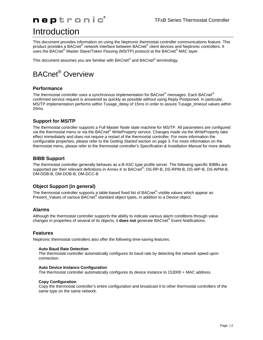### neptronic<sup>®</sup>

## Introduction

This document provides information on using the Neptronic thermostat controller communications feature. This product provides a BACnet® network interface between BACnet® client devices and Neptronic controllers. It uses the BACnet® Master Slave/Token Passing (MS/TP) protocol at the BACnet® MAC layer.

This document assumes you are familiar with BACnet® and BACnet® terminology.

## BACnet® Overview

### **Performance**

The thermostat controller uses a synchronous implementation for BACnet $^{\circledast}$  messages. Each BACnet $^{\circledast}$ confirmed service request is answered as quickly as possible without using Reply Postponed. In particular, MS/TP implementation performs within Tusage\_delay of 15ms in order to assure Tusage\_timeout values within 20ms.

### **Support for MS/TP**

The thermostat controller supports a Full Master Node state machine for MS/TP. All parameters are configured via the thermostat menu or via the BACnet® WriteProperty service. Changes made via the WriteProperty take effect immediately and does not require a restart of the thermostat controller. For more information the configurable properties, please refer to the *Getting Started* section on page 3. For more information on the thermostat menu, please refer to the thermostat controller's *Specification & Installation Manual* for more details.

### **BIBB Support**

The thermostat controller generally behaves as a B-ASC type profile server. The following specific BIBBs are supported per their relevant definitions in Annex K to BACnet<sup>®</sup>: DS-RP-B, DS-RPM-B, DS-WP-B, DS-WPM-B, DM-DDB-B, DM-DOB-B, DM-DCC-B

### **Object Support (in general)**

The thermostat controller supports a table-based fixed list of BACnet<sup>®</sup>-visible values which appear as Present\_Values of various BACnet<sup>®</sup> standard object types, in addition to a Device object.

### **Alarms**

Although the thermostat controller supports the ability to indicate various alarm conditions through value changes in properties of several of its objects, it **does not** generate BACnet® Event Notifications.

#### **Features**

Neptronic thermostat controllers also offer the following time-saving features.

#### **Auto Baud Rate Detection**

The thermostat controller automatically configures its baud rate by detecting the network speed upon connection.

#### **Auto Device Instance Configuration**

The thermostat controller automatically configures its device instance to 153000 + MAC address.

#### **Copy Configuration**

Copy the thermostat controller's entire configuration and broadcast it to other thermostat controllers of the same type on the same network.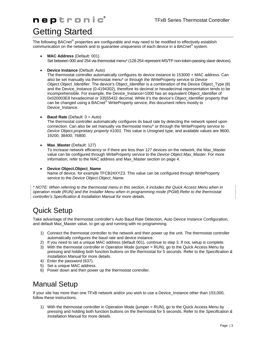### neptronic<sup>®</sup>

## Getting Started

The following BACnet<sup>®</sup> properties are configurable and may need to be modified to effectively establish communication on the network and to guarantee uniqueness of each device in a BACnet® system.

- **MAC Address** (Default: 001) Set between 000 and 254 via thermostat menu\* (128-254 represent MS/TP non-token-passing slave devices).
- **Device Instance** (Default: Auto)

The thermostat controller automatically configures its device instance to 153000 + MAC address. Can also be set manually via thermostat menu\* or through the WriteProperty service to *Device Object.Object\_Identifier.* The device's Object\_Identifier is a combination of the Device Object\_Type (8) and the Device\_Instance (0-4194302), therefore its decimal or hexadecimal representation tends to be incomprehensible. For example, the Device\_Instance=1000 has an equivalent Object\_Identifier of 0x020003E8 hexadecimal or 33555432 decimal. While it's the device's Object Identifier property that can be changed using a BACnet® WriteProperty service, this document refers mostly to Device\_Instance.

**Baud Rate** (Default:  $0 =$  Auto)

The thermostat controller automatically configures its baud rate by detecting the network speed upon connection. Can also be set manually via thermostat menu\* or through the WriteProperty service to *Device Object.proprietary property #1001*. This value is Unsigned type, and available values are 9600, 19200, 38400, 76800.

**Max\_Master** (Default: 127)

To increase network efficiency or if there are less than 127 devices on the network, the Max\_Master value can be configured through WriteProperty service to the *Device Object.Max\_Master*. For more information, refer to the MAC address and Max\_Master section on page 4.

**Device Object.Object\_Name** 

Name of device, for example TFCB24XYZ3. This value can be configured through WriteProperty service to the *Device Object.Object\_Name*.

*\* NOTE: When referring to the thermostat menu in this section, it includes the Quick Access Menu when in operation mode (RUN) and the Installer Menu when in programming mode (PGM).Refer to the thermostat controller's Specification & Installation Manual for more details.* 

### Quick Setup

Take advantage of the thermostat controller's Auto Baud Rate Detection, Auto Device Instance Configuration, and default Max\_Master value, to get up and running with no programming.

- 1) Connect the thermostat controller to the network and then power up the unit. The thermostat controller automatically configures the baud rate and device instance.
- 2) If you need to set a unique MAC address (default 001), continue to step 3. If not, setup is complete.
- 3) With the thermostat controller in Operation Mode (jumper = RUN), go to the Quick Access Menu by pressing and holding both function buttons on the thermostat for 5 seconds. Refer to the *Specification & Installation Manual* for more details.
- 4) Enter the password (637).
- 5) Set a unique MAC address.
- 6) Power down and then power up the thermostat controller.

### Manual Setup

If your site has more than one TFxB network and/or you wish to use a Device\_Instance other than 153,000, follow these instructions.

1) With the thermostat controller in Operation Mode (jumper = RUN), go to the Quick Access Menu by pressing and holding both function buttons on the thermostat for 5 seconds. Refer to the *Specification & Installation Manual* for more details.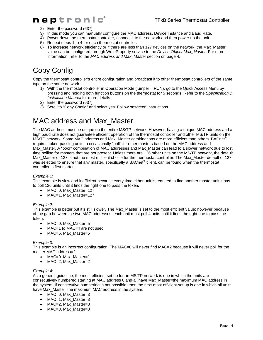- 2) Enter the password (637).
- 3) In this mode you can manually configure the MAC address, Device Instance and Baud Rate.
- 4) Power down the thermostat controller, connect it to the network and then power up the unit.
- 5) Repeat steps 1 to 4 for each thermostat controller.
- 6) To increase network efficiency or if there are less than 127 devices on the network, the Max\_Master value can be configured through WriteProperty service to the *Device Object.Max\_Master*. For more information, refer to the *MAC address and Max\_Master* section on page 4.

### Copy Config

Copy the thermostat controller's entire configuration and broadcast it to other thermostat controllers of the same type on the same network.

- 1) With the thermostat controller in Operation Mode (jumper = RUN), go to the Quick Access Menu by pressing and holding both function buttons on the thermostat for 5 seconds. Refer to the *Specification & Installation Manual* for more details.
- 2) Enter the password (637).
- 3) Scroll to "Copy Config" and select yes. Follow onscreen instructions.

### MAC address and Max\_Master

The MAC address must be unique on the entire MS/TP network. However, having a unique MAC address and a high baud rate does not guarantee efficient operation of the thermostat controller and other MS/TP units on the MS/TP network. Some MAC address and Max\_Master combinations are more efficient than others. BACnet® requires token-passing units to occasionally "poll" for other masters based on the MAC address and Max\_Master. A "poor" combination of MAC addresses and Max\_Master can lead to a slower network due to lost time polling for masters that are not present. Unless there are 126 other units on the MS/TP network, the default Max Master of 127 is not the most efficient choice for the thermostat controller. The Max Master default of 127 was selected to ensure that any master, specifically a BACnet $^{\circ}$  client, can be found when the thermostat controller is first started.

#### *Example 1:*

This example is slow and inefficient because every time either unit is required to find another master unit it has to poll 126 units until it finds the right one to pass the token.

- MAC=0. Max Master=127
- MAC=1, Max Master=127

#### *Example 2:*

This example is better but it's still slower. The Max\_Master is set to the most efficient value; however because of the gap between the two MAC addresses, each unit must poll 4 units until it finds the right one to pass the token.

- MAC=0. Max Master=5
- MAC=1 to MAC=4 are not used
- MAC=5, Max Master=5

#### *Example 3:*

This example is an incorrect configuration. The MAC=0 will never find MAC=2 because it will never poll for the master MAC address=2.

- MAC=0. Max\_Master=1
- MAC=2, Max Master=2

#### *Example 4:*

As a general guideline, the most efficient set up for an MS/TP network is one in which the units are consecutively numbered starting at MAC address 0 and all have Max\_Master=the maximum MAC address in the system. If consecutive numbering is not possible, then the next most efficient set up is one in which all units have Max\_Master=the maximum MAC address in the system.

- MAC=0. Max\_Master=3
- MAC=1, Max Master=3
- MAC=2, Max\_Master=3
- MAC=3, Max\_Master=3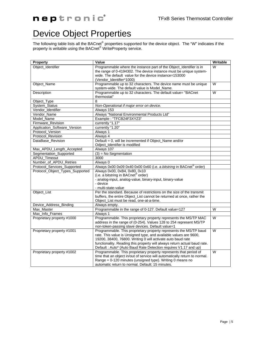## Device Object Properties

The following table lists all the BACnet® properties supported for the device object. The "W" indicates if the property is writable using the BACnet® WriteProperty service.

| Property                        | <b>Value</b>                                                                    | <b>Writable</b> |
|---------------------------------|---------------------------------------------------------------------------------|-----------------|
| Object_Identifier               | Programmable where the instance part of the Object_Identifier is in             | W               |
|                                 | the range of 0-4194302. The device instance must be unique system-              |                 |
|                                 | wide. The default value for the device instance=153000                          |                 |
|                                 | (Vendor_Identifier*1000)                                                        |                 |
| Object_Name                     | Programmable up to 32 characters. The device name must be unique                | W               |
|                                 | system-wide. The default value is Model_Name.                                   |                 |
| Description                     | Programmable up to 32 characters. The default value= "BACnet                    | W               |
|                                 | thermostat"                                                                     |                 |
| Object_Type                     | 8                                                                               |                 |
| System_Status                   | Non-Operational if major error on device.                                       |                 |
| Vendor Identifier               | Always 153                                                                      |                 |
| Vendor_Name                     | Always "National Environmental Products Ltd"                                    |                 |
| Model_Name                      | Example: "TFCB24F3XYZ3"                                                         |                 |
| Firmware_Revision               | currently "1.17"                                                                |                 |
| Application_Software_Version    | currently "1.20"                                                                |                 |
| Protocol_Version                | Always 1                                                                        |                 |
| Protocol_Revision               | Always 4                                                                        |                 |
| DataBase_Revision               | Default = 0, will be incremented if Object_Name and/or                          |                 |
|                                 | Odject_Identifier is modified                                                   |                 |
| Max_APDU_Length_Accepted        | Always 107                                                                      |                 |
| Segmentation_Supported          | $(3)$ = No Segmentation                                                         |                 |
| APDU_Timeout                    | 3000                                                                            |                 |
| Number_of_APDU_Retries          | Always 0                                                                        |                 |
| Protocol_Services_Supported     | Always 0x00 0x09 0x40 0x00 0x60 (i.e. a bitstring in BACnet <sup>®</sup> order) |                 |
| Protocol_Object_Types_Supported | Always 0x00, 0xB4, 0x80, 0x10                                                   |                 |
|                                 | (i.e. a bitstring in BACnet® order)                                             |                 |
|                                 | - analog-input, analog-value, binary-input, binary-value                        |                 |
|                                 | - device                                                                        |                 |
|                                 | - multi-state-value                                                             |                 |
| Object_List                     | Per the standard. Because of restrictions on the size of the transmit           |                 |
|                                 | buffers, the entire Object_List cannot be returned at once, rather the          |                 |
|                                 | Object_List must be read, one-at-a-time.                                        |                 |
| Device_Address_Binding          | Always empty.                                                                   |                 |
| Max_Master                      | Programmable in the range of 0-127. Default value=127                           | W               |
| Max_Info_Frames                 | Always 1                                                                        |                 |
| Proprietary property #1000      | Programmable. This proprietary property represents the MS/TP MAC                | W               |
|                                 | address in the range of (0-254). Values 128 to 254 represent MS/TP              |                 |
|                                 | non-token-passing slave devices. Default value=1                                |                 |
| Proprietary property #1001      | Programmable. This proprietary property represents the MS/TP baud               | W               |
|                                 | rate. This value is Unsigned type, and available values are 9600,               |                 |
|                                 | 19200, 38400, 76800. Writing 0 will activate auto baud rate                     |                 |
|                                 | functionality. Reading this property will always return actual baud rate.       |                 |
|                                 | Default: Auto* (Auto Baud Rate Detection requires V1.17 and up)                 |                 |
| Proprietary property #1002      | Programmable. This proprietary property represents that period of               | W               |
|                                 | time that an object in/out of service will automatically return to normal.      |                 |
|                                 | Range = 0-120 minutes (unsigned type). Writing 0 means no                       |                 |
|                                 | automatic return to normal. Default: 15 minutes.                                |                 |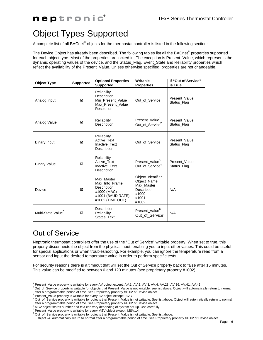## Object Types Supported

A complete list of all BACnet® objects for the thermostat controller is listed in the following section:

The Device Object has already been described. The following tables list all the BACnet<sup>®</sup> properties supported for each object type. Most of the properties are locked in. The exception is Present Value, which represents the dynamic operating values of the device, and the Status\_Flag, Event\_State and Reliability properties which reflect the availability of the Present Value. Unless otherwise specified, properties are not changeable.

| <b>Object Type</b>             | <b>Supported</b> | <b>Optional Properties</b><br><b>Supported</b>                                                      | Writable<br><b>Properties</b>                                                            | If "Out of Service"<br>is True |  |  |
|--------------------------------|------------------|-----------------------------------------------------------------------------------------------------|------------------------------------------------------------------------------------------|--------------------------------|--|--|
| Analog Input                   | N                | Reliability<br>Description<br>Min Present Value<br>Max_Present_Value<br>Resolution                  | Out of Service                                                                           | Present Value<br>Status_Flag   |  |  |
| Analog Value                   | м                | Reliability<br>Description                                                                          | Present_Value <sup>1</sup><br>Out_of_Service <sup>2</sup>                                | Present Value<br>Status Flag   |  |  |
| <b>Binary Input</b>            | N                | Reliability<br>Active Text<br><b>Inactive Text</b><br>Description                                   | Out of Service                                                                           | Present Value<br>Status Flag   |  |  |
| <b>Binary Value</b>            | N                | Reliability<br>Active Text<br>Inactive Text<br>Description                                          | Present_Value <sup>3</sup><br>Out_of_Service <sup>4</sup>                                | Present Value<br>Status Flag   |  |  |
| Device                         | ☑                | Max Master<br>Max_Info_Frame<br>Description<br>#1000 (MAC)<br>#1001 (BAUD RATE)<br>#1002 (TIME OUT) | Object_Identifier<br>Object Name<br>Max Master<br>Description<br>#1000<br>#1001<br>#1002 | N/A                            |  |  |
| Multi-State Value <sup>5</sup> | м                | Description<br>Reliability<br>States Text                                                           | Present_Value <sup>6</sup><br>Out_of_Service <sup>7</sup>                                | N/A                            |  |  |

### Out of Service

 $\overline{a}$ 

Neptronic thermostat controllers offer the use of the "Out of Service" writable property. When set to true, this property disconnects the object from the physical input, enabling you to input other values. This could be useful for special applications or when troubleshooting. For example, you can ignore the temperature read from a sensor and input the desired temperature value in order to perform specific tests.

For security reasons there is a timeout that will set the Out of Service property back to false after 15 minutes. This value can be modified to between 0 and 120 minutes (see proprietary property #1002).

Object will automatically return to normal after a programmable period of time. See Proprietary property #1002 of Device object.

<sup>1</sup> Present\_Value property is writable for every AV object except: AV.1, AV.2, AV.3, AV.4, AV.28, AV.36, AV.41, AV.42

<sup>&</sup>lt;sup>2</sup> Out\_of\_Service property is writable for objects that Present\_Value is not writable: see list above. Object will automatically return to normal after a programmable period of time. See Proprietary property #1002 of Device object.

<sup>&</sup>lt;sup>3</sup> Present\_Value property is writable for every BV object except: BV.7

<sup>&</sup>lt;sup>4</sup> Out\_of\_Service property is writable for objects that Present\_Value is not writable. See list above. Object will automatically return to normal after a programmable period of time. See Proprietary property #1002 of Device object.

<sup>&</sup>lt;sup>5</sup> MSV object states number and text can vary depending of system set-up. Use carefully.

<sup>&</sup>lt;sup>6</sup> Present\_Value property is writable for every MSV object except: MSV.14

 $^7$  Out\_of\_Service property is writable for objects that Present\_Value is not writable. See list above.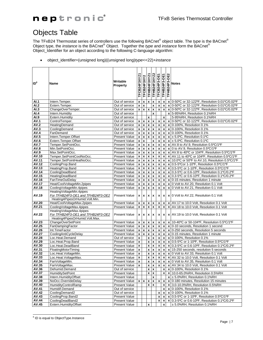### Objects Table

The TFxB24 Thermostat series of controllers use the following BACnet<sup>®</sup> object table. The *type* is the BACnet<sup>®</sup> Object type, the *instance* is the BACnet® Object. Together the *type* and *instance* form the BACnet® Object\_Identifier for an object according to the following C-language algorithm:

object\_identifier=(unsigned long)((unsigned long)*type*<<22)+*instance*

| ID <sup>8</sup> | Name                                                                                            | Writable<br><b>Property</b>           | TFCB24F3XYZ1                             | TFCB24F3XY2                      | <b>TFHB24F3XYZ1</b>                             | <b>TFHB24F3XYZ2</b>                      | TFCB24P3-OE1                                  | TFHB24P3-OE1                 | <b>OE2</b>   | TFHB24P3-C<br>TFHB24P3-C                                                                                                   |
|-----------------|-------------------------------------------------------------------------------------------------|---------------------------------------|------------------------------------------|----------------------------------|-------------------------------------------------|------------------------------------------|-----------------------------------------------|------------------------------|--------------|----------------------------------------------------------------------------------------------------------------------------|
| <b>AI.1</b>     | Intern.Temper.                                                                                  | Out of service                        | $\pmb{\mathsf{x}}$                       |                                  | $x \mid x$                                      | $\pmb{\mathsf{x}}$                       | $\pmb{\mathsf{x}}$                            | $\pmb{\mathsf{x}}$           |              | x   0-50°C or 32-122°F, Resolution 0.01°C/0.02°F                                                                           |
| AI.2            | Extern.Temper.                                                                                  | Out of service                        | x                                        | $\pmb{\chi}$                     |                                                 | $\pmb{\mathsf{x}}$                       | $\pmb{\mathsf{x}}$                            | $\pmb{\mathsf{x}}$           |              | x   0-50°C or 32-122°F, Resolution 0.01°C/0.02°F                                                                           |
| AI.3            | ChangeOverTemper.                                                                               | Out of service                        | $\mathbf{x}$                             | $x \mid x$                       |                                                 | $\pmb{\mathsf{x}}$                       | $\pmb{\mathsf{x}}$                            | $\pmb{\chi}$                 |              | x   0-50°C or 32-122°F, Resolution 0.01°C/0.02°F                                                                           |
| AI.4            | Intern.Humidity                                                                                 | Out of service                        |                                          |                                  |                                                 | $\mathbf{x}$                             |                                               |                              |              | x 5-95%RH, Resolution 0.1%RH                                                                                               |
| AI.9<br>AV.1    | Extern.Humidity<br>ControlTemper.                                                               | Out of service<br>Out of service      |                                          |                                  | x                                               |                                          |                                               | $\pmb{\mathsf{x}}$           |              | 5-95%RH, Resolution 0.1%RH<br>x   0-50°C or 32-122°F, Resolution 0.01°C/0.02°F                                             |
| AV.2            | HeatingDemand                                                                                   | Out of service                        | $\pmb{\mathsf{x}}$<br>$\pmb{\mathsf{x}}$ | $\pmb{\mathsf{x}}$<br>$x \mid x$ | $\mathbf{x}$                                    | $\pmb{\mathsf{x}}$<br>$\pmb{\mathsf{x}}$ | $\pmb{\mathsf{x}}$<br>$\overline{\mathbf{x}}$ | $\mathbf{x}$<br>$\mathbf{x}$ |              | $x$ 0-100%, Resolution 0.1%                                                                                                |
| AV.3            | CoolingDemand                                                                                   | Out of service                        | $\pmb{\mathsf{x}}$                       |                                  | $x \mid x$                                      | $\pmb{\mathsf{x}}$                       | $\boldsymbol{\mathsf{x}}$                     |                              |              | $x \mid x$ 0-100%, Resolution 0.1%                                                                                         |
| AV.4            | FanDemand                                                                                       | Out of service                        | $\pmb{\mathsf{x}}$                       |                                  | $x \mid x$                                      | $\pmb{\mathsf{x}}$                       | $\pmb{\mathsf{x}}$                            | $\pmb{\mathsf{x}}$           |              | $x$ 0-100%, Resolution 0.1%                                                                                                |
| AV.5            | Intern.Temper.Offset                                                                            | <b>Present Value</b>                  | $\pmb{\mathsf{x}}$                       |                                  | $x \mid x$                                      | $\pmb{\mathsf{x}}$                       | $\boldsymbol{\mathsf{x}}$                     |                              |              | $x \mid x \mid \pm 5.0^{\circ}$ C, Resolution 0.1°C                                                                        |
| AV.6            | Extern.Temper.Offset                                                                            | <b>Present Value</b>                  | $\pmb{\mathsf{x}}$                       | $\boldsymbol{\mathsf{x}}$        |                                                 | $\pmb{\mathsf{x}}$                       | $\pmb{\mathsf{x}}$                            |                              |              | $x \mid x \mid \pm 5.0^{\circ}$ C, Resolution 0.1°C                                                                        |
| <b>AV.7</b>     | Temper.SetPointOcc.                                                                             | Present Value                         | $\pmb{\mathsf{x}}$                       |                                  | $\overline{\mathbf{x}}$ $\overline{\mathbf{x}}$ | $\pmb{\mathsf{x}}$                       | $\pmb{\mathsf{x}}$                            |                              |              | $x \mid x$ AV.8 to AV.9, Resolution 0.5°C/1°F                                                                              |
| AV.8            | Min.SetPointOcc.                                                                                | <b>Present Value</b>                  | $\mathbf{x}$                             | $x \mid x$                       |                                                 | $\pmb{\mathsf{x}}$                       | $\boldsymbol{\mathsf{x}}$                     |                              |              | $x \mid x$ 0 to AV.9, Resolution 0.5°C/1°F                                                                                 |
| AV.9            | Max.SetPointOcc.                                                                                | <b>Present Value</b>                  | x                                        | $\mathbf{x}$                     | $\pmb{\mathsf{x}}$                              | $\pmb{\mathsf{x}}$                       | $\pmb{\mathsf{x}}$                            |                              | $\mathbf{x}$ | x AV.8 to 40°C or 104°F, Resolution 0.5°C/1°F                                                                              |
| AV.10           | Temper.SetPointCoolNoOcc.                                                                       | <b>Present Value</b>                  | x                                        | $\pmb{\mathsf{x}}$               | $\pmb{\mathsf{x}}$                              | $\pmb{\mathsf{x}}$                       | $\pmb{\mathsf{x}}$                            | $\pmb{\mathsf{x}}$           |              | x AV.11 to 40°C or 104°F, Resolution 0.5°C/1°F                                                                             |
| AV.11           | Temper.SetPointHeatNoOcc.                                                                       | Present Value                         | x                                        | $\mathbf{x}$                     | $\pmb{\mathsf{x}}$                              | $\pmb{\mathsf{x}}$                       | $\pmb{\mathsf{x}}$                            |                              | $\mathbf{x}$ | x 10.0°C or 50°F to AV.10, Resolution 0.5°C/1°F                                                                            |
| AV.12           | CoolingProp.Band                                                                                | <b>Present Value</b>                  | $\pmb{\mathsf{x}}$                       | $\mathbf{x}$                     | $\pmb{\mathsf{x}}$                              | $\pmb{\mathsf{x}}$                       | $\pmb{\mathsf{x}}$                            |                              |              | $x \mid x$ 0.5-5°Cor 1-10°F, Resolution 0.5°C/1°F                                                                          |
| AV.13           | HeatingProp.Band                                                                                | <b>Present Value</b>                  | $\pmb{\mathsf{x}}$                       | X                                | $\pmb{\mathsf{x}}$                              | $\pmb{\mathsf{x}}$                       | $\pmb{\mathsf{x}}$                            | $\pmb{\mathsf{x}}$           |              | $x$ 0.5-5°C or 1-10°F, Resolution 0.5°C/1°F                                                                                |
| AV.14           | CoolingDeadBand                                                                                 | <b>Present Value</b>                  | x                                        | $\pmb{\mathsf{x}}$               | $\pmb{\mathsf{x}}$                              | $\pmb{\mathsf{x}}$                       | $\pmb{\mathsf{x}}$                            | $\pmb{\mathsf{x}}$           |              | x 0.3-5°C or 0.6-10°F, Resolution 0.1°C/0.2°F                                                                              |
| AV.15           | HeatingDeadBand                                                                                 | <b>Present Value</b>                  | $\pmb{\mathsf{x}}$                       | $\mathbf{x}$                     | $\pmb{\mathsf{x}}$                              | $\pmb{\mathsf{x}}$                       | $\pmb{\mathsf{x}}$                            | $\pmb{\mathsf{x}}$           |              | x 0.3-5°C or 0.6-10°F, Resolution 0.1°C/0.2°F                                                                              |
| AV.16           | FanTimeOutDelay                                                                                 | Present Value                         | x                                        | $\mathbf{x}$                     | $\pmb{\mathsf{x}}$                              | $\pmb{\mathsf{x}}$                       | $\pmb{\mathsf{x}}$                            | $\pmb{\mathsf{x}}$           |              | x 0-15 minutes, Resolution 1 minute                                                                                        |
| AV.17           | Heat/CoolVoltageMin.2pipes                                                                      | Present Value                         | $\pmb{\mathsf{x}}$                       | x                                | $\pmb{\mathsf{x}}$                              | $\pmb{\mathsf{x}}$                       | $\pmb{\mathsf{x}}$                            | $\pmb{\mathsf{x}}$           |              | x 0 Volt to AV.20, Resolution 0.1 Volt                                                                                     |
| AV.18           | CoolingVoltageMin.4pipes                                                                        | <b>Present Value</b>                  | $\pmb{\mathsf{x}}$                       | $\pmb{\mathsf{x}}$               | $\pmb{\mathsf{x}}$                              | $\pmb{\mathsf{x}}$                       | $\pmb{\mathsf{x}}$                            | $\pmb{\mathsf{x}}$           |              | x 0 Volt to AV.21, Resolution 0.1 Volt                                                                                     |
| AV.19           | HeatingVoltageMin.4pipes<br>For TFHB24P3-OE1 and TFHB24P3-OE2<br>Heating4PipesOrHumid.Volt.Min. | <b>Present Value</b>                  |                                          | $x \mid x \mid x$                |                                                 | $\mathbf x$                              | $\pmb{\mathsf{x}}$                            | $\mathbf{x}$                 |              | x   0 Volt to AV.22, Resolution 0.1 Volt                                                                                   |
| AV.20           | Heat/CoolVoltageMax.2pipes                                                                      | <b>Present Value</b>                  | x                                        | $\pmb{\mathsf{x}}$               | $\mathbf{x}$                                    | $\pmb{\mathsf{x}}$                       | x                                             |                              |              | x x AV.17 to 10.0 Volt, Resolution 0.1 Volt                                                                                |
| AV.21           | CoolingVoltageMax.4pipes                                                                        | <b>Present Value</b>                  | $\pmb{\mathsf{x}}$                       | $\overline{x}$                   | $\pmb{\mathsf{x}}$                              | $\pmb{\mathsf{x}}$                       | $\pmb{\mathsf{x}}$                            | $\boldsymbol{\mathsf{x}}$    |              | x AV.18 to 10.0 Volt, Resolution 0.1 Volt                                                                                  |
| AV.22           | HeatingVoltageMax.4pipes<br>For TFHB24P3-OE1 and TFHB24P3-OE2<br>Heating4PipesOrHumid.Volt.Max. | <b>Present Value</b>                  |                                          | $x \mid x \mid x$                |                                                 | $\pmb{\mathsf{x}}$                       | x                                             |                              | $\mathbf{x}$ | x   AV.19 to 10.0 Volt, Resolution 0.1 Volt                                                                                |
| AV.23           | ChangeOverSetPoint                                                                              | <b>Present Value</b>                  | $\pmb{\mathsf{x}}$                       |                                  | $x \mid x$                                      | $\pmb{\mathsf{x}}$                       | $\pmb{\mathsf{x}}$                            |                              | $\mathbf{x}$ | $x$ 10-40°C or 50-104°F, Resolution 0.5°C/1°F                                                                              |
| AV.25           | FanDampingFactor                                                                                | <b>Present Value</b>                  | $\pmb{\mathsf{x}}$                       |                                  | $x \mid x$                                      | $\pmb{\mathsf{x}}$                       | $\pmb{\mathsf{x}}$                            |                              |              | $x \mid x$ 0-10 seconds, Resolution 1 second                                                                               |
| AV.26           | Int.TimeFactor                                                                                  | <b>Present Value</b>                  | $\pmb{\mathsf{x}}$                       |                                  | $x \mid x$                                      | $\pmb{\mathsf{x}}$                       | $\pmb{\mathsf{x}}$                            |                              | $\mathbf{x}$ | x 0-250 seconds, Resolution 5 seconds                                                                                      |
| <b>AV.27</b>    | CoolingAntiCycleDelay                                                                           | Present Value                         | $\pmb{\mathsf{x}}$                       | $\mathbf{x}$                     | $\pmb{\mathsf{x}}$                              | x                                        | $\pmb{\mathsf{x}}$                            |                              |              | $x \mid x$ 0-15 minutes, Resolution 1 minute                                                                               |
| AV.28           | Loc.Heat.Demand                                                                                 | Out of service                        | $\pmb{\mathsf{x}}$                       |                                  | X                                               | $\pmb{\mathsf{x}}$                       | $\pmb{\mathsf{x}}$                            |                              |              | $x \mid x$ 0-100%, Resolution 0.1%                                                                                         |
| AV.29<br>AV.30  | Loc.Heat.Prop.Band<br>Loc.Heat.DeadBand                                                         | <b>Present Value</b><br>Present Value | $\mathbf{x}$<br>$\mathbf{x}$             |                                  | X<br>X                                          | $\pmb{\mathsf{x}}$<br>$\pmb{\mathsf{x}}$ | $\pmb{\mathsf{x}}$<br>$\pmb{\mathsf{x}}$      |                              |              | $x \mid x$ 0.5-5°C or 1-10°F, Resolution 0.5°C/1°F<br>$x \mid x \mid 0.3 - 5^{\circ}C$ or 0.6-10°F, Resolution 0.1°C/0.2°F |
| AV.31           | FloatingMotorTiming                                                                             | <b>Present Value</b>                  | $\pmb{\mathsf{x}}$                       |                                  | $\pmb{\mathsf{x}}$                              | $\pmb{\mathsf{x}}$                       | $\pmb{\mathsf{x}}$                            | $\mathbf{x}$                 |              | x 15-250 seconds, resolution 5 seconds                                                                                     |
| AV.32           | Loc.Heat.VoltageMin.                                                                            | Present Value                         | $\mathbf{x}$                             |                                  | $\pmb{\mathsf{x}}$                              | $\pmb{\mathsf{x}}$                       | $\pmb{\mathsf{x}}$                            |                              |              | $x \mid x$ 0 Volt to AV.33, Resolution 0.1 Volt                                                                            |
| AV.33           | Loc.Heat.VoltageMax.                                                                            | Present Value                         | $\mathbf{x}$                             |                                  | $\pmb{\mathsf{x}}$                              | $\pmb{\mathsf{x}}$                       |                                               |                              |              | $x \mid x \mid x$ AV.32 to 10.0 Volt, Resolution 0.1 Volt                                                                  |
| AV.34           | FanVoltageMin.                                                                                  | <b>Present Value</b>                  | x                                        |                                  |                                                 | $x \mathbf{X}$                           |                                               | $x \mid x$                   |              | x 0 Volt to AV.35, Resolution 0.1 Volt                                                                                     |
| AV.35           | FanVoltageMax.                                                                                  | <b>Present Value</b>                  | X                                        |                                  | $\pmb{\mathsf{x}}$                              | $\pmb{\mathsf{x}}$                       | $\pmb{\mathsf{x}}$                            | $\boldsymbol{x}$             |              | x AV.34 to 10.0 Volt, Resolution 0.1 Volt                                                                                  |
| AV.36           | Dehumid.Demand                                                                                  | Out of service                        |                                          |                                  | $\mathbf{x}$                                    | $\pmb{\mathsf{x}}$                       |                                               |                              | x            | $x$ 0-100%, Resolution 0.1%                                                                                                |
| AV.37           | HumiditySetPoint                                                                                | <b>Present Value</b>                  |                                          |                                  | $\mathbf{x}$                                    | $\pmb{\mathsf{x}}$                       |                                               |                              | $\mathbf{x}$ | x 10.0-65.0%RH, Resolution 0.5%RH                                                                                          |
| AV.38           | Intern.HumidityOffset                                                                           | <b>Present Value</b>                  |                                          |                                  |                                                 | $\mathbf{x}$                             |                                               |                              |              | $x \pm 5.0\%RH$ , Resolution 0.1%RH                                                                                        |
| AV.39           | NoOcc.OverrideDelay                                                                             | <b>Present Value</b>                  | x                                        | $\pmb{\mathsf{x}}$               | X                                               | $\pmb{\mathsf{x}}$                       | $\pmb{\mathsf{x}}$                            | $\pmb{\mathsf{x}}$           |              | x 0-180 minutes, Resolution 15 minutes                                                                                     |
| AV.40           | HumidityControlRamp                                                                             | <b>Present Value</b>                  |                                          |                                  | $\mathbf{x}$                                    | $\boldsymbol{x}$                         |                                               | $\pmb{\mathsf{x}}$           |              | $x$ 3.0-10.0%RH. Resolution 0.5%RH                                                                                         |
| AV.41           | Humidif.Demand                                                                                  | Out of service                        |                                          |                                  |                                                 |                                          |                                               | $\pmb{\mathsf{x}}$           |              | $x$ 0-100%, Resolution 0.1%                                                                                                |
| AV.42           | CoolingDemand2                                                                                  | Out of service                        |                                          |                                  |                                                 |                                          | $\pmb{\mathsf{x}}$                            | $\pmb{\mathsf{x}}$           |              | $x$ 0-100%, Resolution 0.1%                                                                                                |
| AV.43           | CoolingProp.Band2                                                                               | <b>Present Value</b>                  |                                          |                                  |                                                 |                                          | $\pmb{\mathsf{x}}$                            | $\mathbf{x}$                 |              | $x$ 0.5-5°C or 1-10°F, Resolution 0.5°C/1°F                                                                                |
| AV.44           | CoolingDeadBand2                                                                                | <b>Present Value</b>                  |                                          |                                  |                                                 |                                          | $\pmb{\mathsf{x}}$                            |                              |              | x   x   0.3-5°C or 0.6-10°F, Resolution 0.1°C/0.2°F                                                                        |
| AV.45           | Extern.HumidityOffset                                                                           | <b>Present Value</b>                  |                                          |                                  | x                                               |                                          |                                               | $\pmb{\mathsf{x}}$           |              | ±5.0%RH, Resolution 0.1%RH                                                                                                 |

<sup>&</sup>lt;sup>8</sup> ID is equal to ObjectType.Instance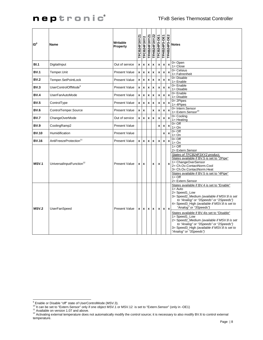#### TFxB Series Thermostat Controller

| ID <sup>8</sup> | Name                                 | Writable<br>Property | TFCB24F3XYZ1       | TFCB24F3XY2        | TFHB24F3XYZ1              | TFHB24F3XYZ2       | TFCB24P3-OE1 |                    | TFHB24P3-OE1       | TFHB24P3-OE2              | <b>Notes</b>                                                                                                                                                                                                                                                                                                                                                                                                                                                                                                           |
|-----------------|--------------------------------------|----------------------|--------------------|--------------------|---------------------------|--------------------|--------------|--------------------|--------------------|---------------------------|------------------------------------------------------------------------------------------------------------------------------------------------------------------------------------------------------------------------------------------------------------------------------------------------------------------------------------------------------------------------------------------------------------------------------------------------------------------------------------------------------------------------|
| <b>BI.1</b>     | DigitalInput                         | Out of service       | $\pmb{\mathsf{x}}$ | $\mathbf{x}$       | $\mathbf{x}$              | $\mathbf{x}$       |              | $\pmb{\mathsf{x}}$ | $\pmb{\mathsf{x}}$ | $\boldsymbol{\mathsf{x}}$ | $0 =$ Open<br>$1 = \text{Close}$                                                                                                                                                                                                                                                                                                                                                                                                                                                                                       |
| <b>BV.1</b>     | Temper.Unit                          | <b>Present Value</b> | $\mathbf{x}$       | $\pmb{\chi}$       | $\mathbf{x}$              | $\pmb{\mathsf{x}}$ |              | x                  | $\pmb{\mathsf{x}}$ | $\boldsymbol{\mathsf{x}}$ | $0 =$ Celsius<br>1= Fahrenheit                                                                                                                                                                                                                                                                                                                                                                                                                                                                                         |
| <b>BV.2</b>     | Temper.SetPointLock                  | <b>Present Value</b> | $\pmb{\mathsf{x}}$ | $\pmb{\mathsf{x}}$ | x                         | $\pmb{\mathsf{x}}$ |              | $\pmb{\mathsf{x}}$ | $\pmb{\mathsf{x}}$ | $\boldsymbol{\mathsf{x}}$ | $0 = Disable$<br>$1 =$ Enable                                                                                                                                                                                                                                                                                                                                                                                                                                                                                          |
| BV.3            | UserControlOffMode <sup>9</sup>      | <b>Present Value</b> | $\pmb{\mathsf{x}}$ | $\mathbf{x}$       | $\mathbf{x}$              | $\pmb{\mathsf{x}}$ |              | $\pmb{\mathsf{x}}$ | x                  | $\boldsymbol{\mathsf{x}}$ | $0 =$ Enable<br>$1 = Disable$                                                                                                                                                                                                                                                                                                                                                                                                                                                                                          |
| <b>BV.4</b>     | <b>UserFanAutoMode</b>               | <b>Present Value</b> | $\pmb{\mathsf{x}}$ | $\pmb{\mathsf{x}}$ | $\boldsymbol{\mathsf{x}}$ | $\pmb{\mathsf{x}}$ |              | $\pmb{\mathsf{x}}$ | $\pmb{\mathsf{x}}$ | $\boldsymbol{\mathsf{x}}$ | $0 =$ Enable<br>$1 = Disable$                                                                                                                                                                                                                                                                                                                                                                                                                                                                                          |
| <b>BV.5</b>     | ControlType                          | <b>Present Value</b> | $\pmb{\mathsf{x}}$ | $\mathbf x$        | $\mathbf{x}$              | $\pmb{\mathsf{x}}$ |              | $\pmb{\mathsf{x}}$ | $\pmb{\mathsf{x}}$ | $\boldsymbol{\mathsf{x}}$ | $0 = 2$ Pipes<br>$1 = 4$ Pipes                                                                                                                                                                                                                                                                                                                                                                                                                                                                                         |
| <b>BV.6</b>     | ControlTemper.Source                 | <b>Present Value</b> | $\mathbf{x}$       | $\mathbf x$        |                           | $\mathbf{x}$       |              | $\pmb{\mathsf{x}}$ | $\pmb{\mathsf{x}}$ | $\mathbf{x}$              | 0= Intern.Sensor<br>$1 =$ Extern. Sensor <sup>10</sup>                                                                                                                                                                                                                                                                                                                                                                                                                                                                 |
| <b>BV.7</b>     | ChangeOverMode                       | Out of service       | x                  |                    | $x \mid x$                | $\pmb{\mathsf{x}}$ |              | $\pmb{\mathsf{x}}$ | x                  | $\boldsymbol{x}$          | $0 =$ Cooling<br>$1 = Heatina$                                                                                                                                                                                                                                                                                                                                                                                                                                                                                         |
| <b>BV.9</b>     | CoolingRamp2                         | <b>Present Value</b> |                    |                    |                           |                    |              | $\pmb{\mathsf{x}}$ | $\pmb{\mathsf{x}}$ | $\boldsymbol{\mathsf{x}}$ | $0 = \text{Off}$<br>$1 = On$                                                                                                                                                                                                                                                                                                                                                                                                                                                                                           |
| <b>BV.10</b>    | Humidification                       | <b>Present Value</b> |                    |                    |                           |                    |              |                    | $\pmb{\mathsf{x}}$ | $\boldsymbol{\mathsf{x}}$ | $0 = \bigcirc$<br>$1 = On$                                                                                                                                                                                                                                                                                                                                                                                                                                                                                             |
| <b>BV.16</b>    | AntiFreezeProtection <sup>11</sup>   | <b>Present Value</b> | $\mathbf{x}$       | $\boldsymbol{x}$   | $\mathbf{x}$              | $\mathbf{x}$       |              | $\pmb{\mathsf{x}}$ | $\pmb{\mathsf{x}}$ | $\boldsymbol{\mathsf{x}}$ | $0 = \mathrm{Off}$<br>$1 = On$                                                                                                                                                                                                                                                                                                                                                                                                                                                                                         |
| <b>MSV.1</b>    | UniversalInputFunction <sup>12</sup> | <b>Present Value</b> | x                  | l X                |                           | x                  |              | $\pmb{\mathsf{x}}$ |                    | $\boldsymbol{x}$          | $1 = \bigcirc$<br>2= Extern.Sensor<br>States of TFCB24F3XY2 product.<br>States available if BV.5 is set to "2Pipe"<br>1= ChangeOverSensor<br>2= Ch.Ov.ContactNorm.Cool<br>3= Ch.Ov.ContactNorm.Heat<br>States available if BV.5 is set to "4Pipe"                                                                                                                                                                                                                                                                      |
| <b>MSV.2</b>    | <b>UserFanSpeed</b>                  | <b>Present Value</b> |                    | x   x   x          |                           | $\mathbf{x}$       |              | $\mathbf{x}$       |                    | $x \mid x$                | $1 = \bigcirc$<br>2= Extern.Sensor<br>States available if BV.4 is set to "Enable"<br>$1 =$ Auto<br>2= Speed1_Low<br>3= Speed2 Medium (available if MSV.8 is set<br>to "Analog" or "3Speeds" or "2Speeds")<br>4= Speed3_High (available if MSV.8 is set to<br>"Analog" or "3Speeds")<br>States available if BV.4is set to "Disable"<br>1= Speed1_Low<br>2= Speed2 Medium (available if MSV.8 is set<br>to "Analog" or "3Speeds" or "2Speeds")<br>3= Speed3 High (available if MSV.8 is set to<br>"Analog" or "3Speeds") |

<sup>&</sup>lt;sup>9</sup> Enable or Disable "off" state of UserControlMode (MSV.3).<br><sup>10</sup> It can be set to "Extern.Sensor" only if one object MSV.1 or MSV.12 is set to "Extern.Sensor" (only in -OE1)<br><sup>11</sup> Available on version 1.07 and above.<br><sup>12</sup> temperature.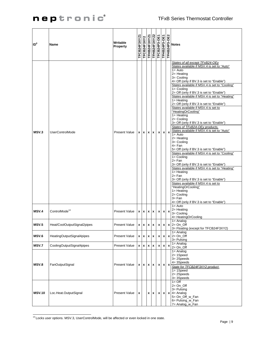| ID <sup>8</sup> | Name                        | Writable<br><b>Property</b> | TFCB24F3XYZ1 | TFCB24F3XY2              | <b>TFHB24F3XYZ1</b> | TFHB24F3XYZ2       | TFCB24P3-OE1       | TFHB24P3-OE1       | TFHB24P3-OE2              | <b>Notes</b>                                                                                                                                                                                                                                                                                                                                                                                                                                                                                                                                                                                                                                                                                                                                                                                                                                                                                                                                                                                                                                                                                                                                   |
|-----------------|-----------------------------|-----------------------------|--------------|--------------------------|---------------------|--------------------|--------------------|--------------------|---------------------------|------------------------------------------------------------------------------------------------------------------------------------------------------------------------------------------------------------------------------------------------------------------------------------------------------------------------------------------------------------------------------------------------------------------------------------------------------------------------------------------------------------------------------------------------------------------------------------------------------------------------------------------------------------------------------------------------------------------------------------------------------------------------------------------------------------------------------------------------------------------------------------------------------------------------------------------------------------------------------------------------------------------------------------------------------------------------------------------------------------------------------------------------|
| MSV.3           | <b>UserControlMode</b>      | <b>Present Value</b>        |              | $x \mid x \mid$          |                     | $x \mid x$         | $\boldsymbol{x}$   |                    | $x \mid x$                | States of all except TFxB24-OEy<br>States available if MSV.4 is set to "Auto"<br>$1 =$ Auto<br>$2=$ Heating<br>3= Cooling<br>4= Off (only if BV.3 is set to "Enable")<br>States available if MSV.4 is set to "Cooling"<br>$1 =$ Cooling<br>2= Off (only if BV.3 is set to "Enable")<br>States available if MSV.4 is set to "Heating"<br>$1 =$ Heating<br>2= Off (only if BV.3 is set to "Enable")<br>States available if MSV.4 is set to<br>"HeatingOrCooling"<br>$1 =$ Heating<br>$2=$ Cooling<br>3= Off (only if BV.3 is set to "Enable")<br>States of TFxB24-OEy products.<br>States available if MSV.4 is set to "Auto"<br>$1 =$ Auto<br>$2=$ Heating<br>3= Cooling<br>$4 = Fan$<br>5= Off (only if BV.3 is set to "Enable")<br>States available if MSV.4 is set to "Cooling"<br>$1 =$ Cooling<br>$2 = Fan$<br>3= Off (only if BV.3 is set to "Enable")<br>States available if MSV.4 is set to "Heating"<br>$1 =$ Heating<br>$2 = Fan$<br>3= Off (only if BV.3 is set to "Enable")<br>States available if MSV.4 is set to<br>"HeatingOrCooling"<br>$1 =$ Heating<br>$2 =$ Cooling<br>$3 = Fan$<br>4= Off (only if BV.3 is set to "Enable") |
| <b>MSV.4</b>    | ControlMode <sup>13</sup>   | <b>Present Value</b>        |              | $x \mid x \mid x \mid x$ |                     |                    | $\boldsymbol{x}$   | $\pmb{\mathsf{x}}$ | $\boldsymbol{\mathsf{x}}$ | $1 = Auto$<br>$2=$ Heating<br>3= Cooling<br>4= HeatingOrCooling                                                                                                                                                                                                                                                                                                                                                                                                                                                                                                                                                                                                                                                                                                                                                                                                                                                                                                                                                                                                                                                                                |
| <b>MSV.5</b>    | Heat/CoolOutputSignal2pipes | <b>Present Value</b>        | x            | $\pmb{\mathsf{x}}$       |                     | $x \mid x$         | $\boldsymbol{x}$   | X                  |                           | $1 =$ Analog<br>$x \mid 2 = On$ Off<br>3= Floating (except for TFCB24F3XY2)                                                                                                                                                                                                                                                                                                                                                                                                                                                                                                                                                                                                                                                                                                                                                                                                                                                                                                                                                                                                                                                                    |
| MSV.6           | HeatingOutputSignal4pipes   | <b>Present Value</b>        | x            |                          | $x \mid x \mid x$   |                    | x                  | x                  |                           | $1 =$ Analog<br>$x \mid 2 =$ On Off<br>$3 =$ Pulsing                                                                                                                                                                                                                                                                                                                                                                                                                                                                                                                                                                                                                                                                                                                                                                                                                                                                                                                                                                                                                                                                                           |
| <b>MSV.7</b>    | CoolingOutputSignal4pipes   | <b>Present Value</b>        | $\mathbf{x}$ | $\boldsymbol{x}$         |                     | $x \mid x$         | x                  | x                  | $\boldsymbol{x}$          | $1 =$ Analog<br>$2=On_Off$                                                                                                                                                                                                                                                                                                                                                                                                                                                                                                                                                                                                                                                                                                                                                                                                                                                                                                                                                                                                                                                                                                                     |
| MSV.8           | FanOutputSignal             | <b>Present Value</b>        |              | $x \mid x \mid x \mid x$ |                     |                    | $\boldsymbol{x}$   |                    | $x \mid x$                | $1 =$ Analog<br>$2 = 1$ Speed<br>3=2Speeds<br>$4 = 3$ Speeds<br>State for TFCB24F3XY2 product,<br>$1 = 1$ Speed<br>$2 = 2$ Speeds<br>3= 3Speeds                                                                                                                                                                                                                                                                                                                                                                                                                                                                                                                                                                                                                                                                                                                                                                                                                                                                                                                                                                                                |
| <b>MSV.10</b>   | Loc.Heat.OutputSignal       | <b>Present Value</b>        | X            |                          | x                   | $\pmb{\mathsf{x}}$ | $\pmb{\mathsf{x}}$ | $\boldsymbol{x}$   | $\boldsymbol{x}$          | $1 = \text{Off}$<br>$2=On_Off$<br>$3 =$ Pulsing<br>$4=$ Analog<br>5= On_Off_w_Fan<br>6= Pulsing_w_Fan<br>7= Analog_w_Fan                                                                                                                                                                                                                                                                                                                                                                                                                                                                                                                                                                                                                                                                                                                                                                                                                                                                                                                                                                                                                       |

 $\overline{a}$ <sup>13</sup> Locks user options. MSV.3, UserControlMode, will be affected or even locked in one state.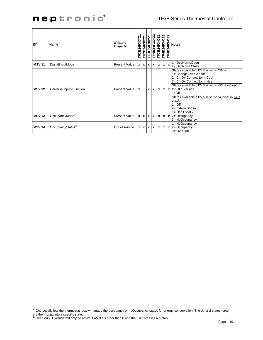#### TFxB Series Thermostat Controller

| lID <sup>8</sup> | <b>Name</b>                   | Writable<br><b>Property</b> | TFCB24F3XYZ1 |               | TFCB24F3XY2<br>TFHB24F3XYZ1 | <b>TFHB24F3XYZ2</b> | TFCB24P3-OE1              | TFHB24P3-OE1 | TFHB24P3-OE2 | <b>Notes</b>                                                                                                                                                                                                                                                                                                                                   |
|------------------|-------------------------------|-----------------------------|--------------|---------------|-----------------------------|---------------------|---------------------------|--------------|--------------|------------------------------------------------------------------------------------------------------------------------------------------------------------------------------------------------------------------------------------------------------------------------------------------------------------------------------------------------|
| <b>MSV.11</b>    | DigitalInputMode              | <b>Present Value</b>        |              | x   x   x   x |                             |                     | $\boldsymbol{\mathsf{x}}$ |              | $x \mid x$   | 1= OccNorm.Open<br>2= OccNorm.Close                                                                                                                                                                                                                                                                                                            |
| <b>MSV.12</b>    | UniversalInput2Function       | <b>Present Value</b>        | X            |               | $\mathbf{x}$                | $\mathbf{x}$        | $\mathbf{x}$              |              |              | States available if BV.5 is set to 2Pipe:<br>1= ChangeOverSensor<br>2= Ch.Ov.ContactNorm.Cool<br>3= Ch.Ov.ContactNorm.Heat<br>States available if BV.5 is set to 4Pipe except<br>$x \mid x$ for OE1 version.<br>$1 = \text{Off}$<br>States available if BV.5 is set to "4 Pipe" in OE1<br><u>version</u><br>$1 = \bigcirc$<br>2= Extern.Sensor |
| <b>MSV.13</b>    | OccupancyMode <sup>14</sup>   | <b>Present Value</b>        |              | x   x   x   x |                             |                     | $\boldsymbol{\mathsf{x}}$ | $\mathbf{x}$ |              | 1= Occ.Locally<br>$x$ 2= Occupancy<br>3= NoOccupancy                                                                                                                                                                                                                                                                                           |
| <b>MSV.14</b>    | OccupancyStatus <sup>15</sup> | Out of service              |              | x   x   x   x |                             |                     | $\boldsymbol{\mathsf{x}}$ | $\mathbf{x}$ |              | 1= NoOccupancy<br>$x \mid 2 =$ Occupancy<br>3= Override                                                                                                                                                                                                                                                                                        |

 $\overline{a}$  $14$  Occ.Locally lets the thermostat locally manage the occupancy or noOccupancy status for energy conservation. The other 2 states force the thermostat into a specific state.<br><sup>15</sup> Read only. Override will only be active if AV.39 is other than 0 and the user presses a button.